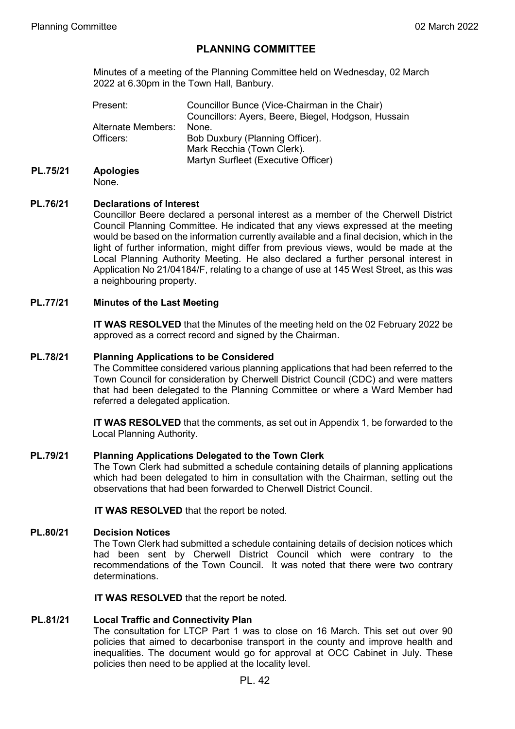# **PLANNING COMMITTEE**

Minutes of a meeting of the Planning Committee held on Wednesday, 02 March 2022 at 6.30pm in the Town Hall, Banbury.

| Present:           | Councillor Bunce (Vice-Chairman in the Chair)<br>Councillors: Ayers, Beere, Biegel, Hodgson, Hussain |
|--------------------|------------------------------------------------------------------------------------------------------|
| Alternate Members: | None.                                                                                                |
| Officers:          | Bob Duxbury (Planning Officer).                                                                      |
|                    | Mark Recchia (Town Clerk).                                                                           |
|                    | Martyn Surfleet (Executive Officer)                                                                  |

# **PL.75/21 Apologies**

None.

## **PL.76/21 Declarations of Interest**

Councillor Beere declared a personal interest as a member of the Cherwell District Council Planning Committee. He indicated that any views expressed at the meeting would be based on the information currently available and a final decision, which in the light of further information, might differ from previous views, would be made at the Local Planning Authority Meeting. He also declared a further personal interest in Application No 21/04184/F, relating to a change of use at 145 West Street, as this was a neighbouring property.

## **PL.77/21 Minutes of the Last Meeting**

**IT WAS RESOLVED** that the Minutes of the meeting held on the 02 February 2022 be approved as a correct record and signed by the Chairman.

#### **PL.78/21 Planning Applications to be Considered**

The Committee considered various planning applications that had been referred to the Town Council for consideration by Cherwell District Council (CDC) and were matters that had been delegated to the Planning Committee or where a Ward Member had referred a delegated application.

**IT WAS RESOLVED** that the comments, as set out in Appendix 1, be forwarded to the Local Planning Authority.

#### **PL.79/21 Planning Applications Delegated to the Town Clerk**

The Town Clerk had submitted a schedule containing details of planning applications which had been delegated to him in consultation with the Chairman, setting out the observations that had been forwarded to Cherwell District Council.

**IT WAS RESOLVED** that the report be noted.

#### **PL.80/21 Decision Notices**

The Town Clerk had submitted a schedule containing details of decision notices which had been sent by Cherwell District Council which were contrary to the recommendations of the Town Council. It was noted that there were two contrary determinations.

**IT WAS RESOLVED** that the report be noted.

#### **PL.81/21 Local Traffic and Connectivity Plan**

The consultation for LTCP Part 1 was to close on 16 March. This set out over 90 policies that aimed to decarbonise transport in the county and improve health and inequalities. The document would go for approval at OCC Cabinet in July. These policies then need to be applied at the locality level.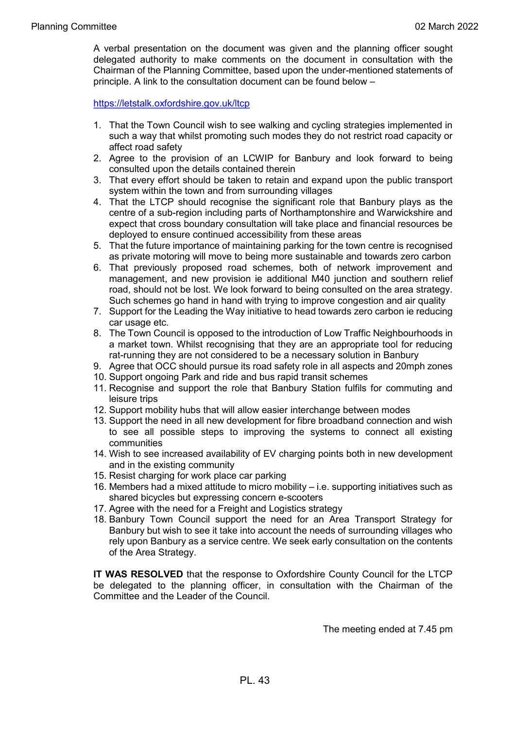A verbal presentation on the document was given and the planning officer sought delegated authority to make comments on the document in consultation with the Chairman of the Planning Committee, based upon the under-mentioned statements of principle. A link to the consultation document can be found below –

<https://letstalk.oxfordshire.gov.uk/ltcp>

- 1. That the Town Council wish to see walking and cycling strategies implemented in such a way that whilst promoting such modes they do not restrict road capacity or affect road safety
- 2. Agree to the provision of an LCWIP for Banbury and look forward to being consulted upon the details contained therein
- 3. That every effort should be taken to retain and expand upon the public transport system within the town and from surrounding villages
- 4. That the LTCP should recognise the significant role that Banbury plays as the centre of a sub-region including parts of Northamptonshire and Warwickshire and expect that cross boundary consultation will take place and financial resources be deployed to ensure continued accessibility from these areas
- 5. That the future importance of maintaining parking for the town centre is recognised as private motoring will move to being more sustainable and towards zero carbon
- 6. That previously proposed road schemes, both of network improvement and management, and new provision ie additional M40 junction and southern relief road, should not be lost. We look forward to being consulted on the area strategy. Such schemes go hand in hand with trying to improve congestion and air quality
- 7. Support for the Leading the Way initiative to head towards zero carbon ie reducing car usage etc.
- 8. The Town Council is opposed to the introduction of Low Traffic Neighbourhoods in a market town. Whilst recognising that they are an appropriate tool for reducing rat-running they are not considered to be a necessary solution in Banbury
- 9. Agree that OCC should pursue its road safety role in all aspects and 20mph zones
- 10. Support ongoing Park and ride and bus rapid transit schemes
- 11. Recognise and support the role that Banbury Station fulfils for commuting and leisure trips
- 12. Support mobility hubs that will allow easier interchange between modes
- 13. Support the need in all new development for fibre broadband connection and wish to see all possible steps to improving the systems to connect all existing communities
- 14. Wish to see increased availability of EV charging points both in new development and in the existing community
- 15. Resist charging for work place car parking
- 16. Members had a mixed attitude to micro mobility i.e. supporting initiatives such as shared bicycles but expressing concern e-scooters
- 17. Agree with the need for a Freight and Logistics strategy
- 18. Banbury Town Council support the need for an Area Transport Strategy for Banbury but wish to see it take into account the needs of surrounding villages who rely upon Banbury as a service centre. We seek early consultation on the contents of the Area Strategy.

**IT WAS RESOLVED** that the response to Oxfordshire County Council for the LTCP be delegated to the planning officer, in consultation with the Chairman of the Committee and the Leader of the Council.

The meeting ended at 7.45 pm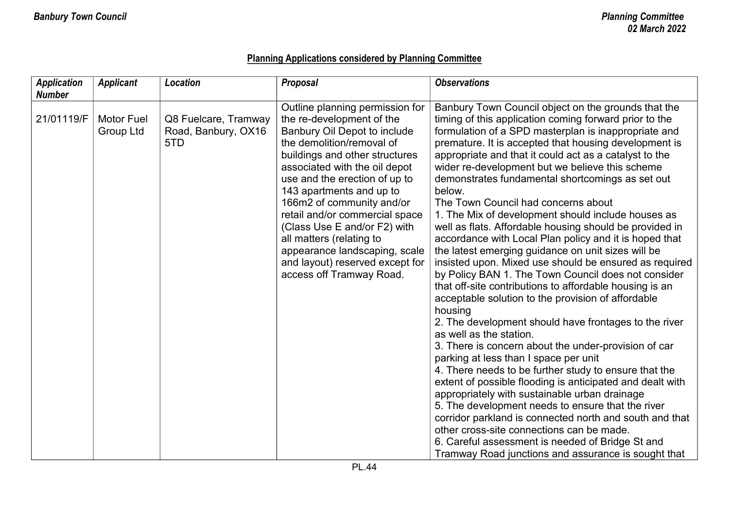# **Planning Applications considered by Planning Committee**

| <b>Application</b><br><b>Number</b> | <b>Applicant</b>               | <b>Location</b>                                    | <b>Proposal</b>                                                                                                                                                                                                                                                                                                                                                                                                                                                                      | <b>Observations</b>                                                                                                                                                                                                                                                                                                                                                                                                                                                                                                                                                                                                                                                                                                                                                                                                                                                                                                                                                                                                                                                                                                                                                                                                                                                                                                                                                                                                                                                                                                                                                |
|-------------------------------------|--------------------------------|----------------------------------------------------|--------------------------------------------------------------------------------------------------------------------------------------------------------------------------------------------------------------------------------------------------------------------------------------------------------------------------------------------------------------------------------------------------------------------------------------------------------------------------------------|--------------------------------------------------------------------------------------------------------------------------------------------------------------------------------------------------------------------------------------------------------------------------------------------------------------------------------------------------------------------------------------------------------------------------------------------------------------------------------------------------------------------------------------------------------------------------------------------------------------------------------------------------------------------------------------------------------------------------------------------------------------------------------------------------------------------------------------------------------------------------------------------------------------------------------------------------------------------------------------------------------------------------------------------------------------------------------------------------------------------------------------------------------------------------------------------------------------------------------------------------------------------------------------------------------------------------------------------------------------------------------------------------------------------------------------------------------------------------------------------------------------------------------------------------------------------|
| 21/01119/F                          | <b>Motor Fuel</b><br>Group Ltd | Q8 Fuelcare, Tramway<br>Road, Banbury, OX16<br>5TD | Outline planning permission for<br>the re-development of the<br>Banbury Oil Depot to include<br>the demolition/removal of<br>buildings and other structures<br>associated with the oil depot<br>use and the erection of up to<br>143 apartments and up to<br>166m2 of community and/or<br>retail and/or commercial space<br>(Class Use E and/or F2) with<br>all matters (relating to<br>appearance landscaping, scale<br>and layout) reserved except for<br>access off Tramway Road. | Banbury Town Council object on the grounds that the<br>timing of this application coming forward prior to the<br>formulation of a SPD masterplan is inappropriate and<br>premature. It is accepted that housing development is<br>appropriate and that it could act as a catalyst to the<br>wider re-development but we believe this scheme<br>demonstrates fundamental shortcomings as set out<br>below.<br>The Town Council had concerns about<br>1. The Mix of development should include houses as<br>well as flats. Affordable housing should be provided in<br>accordance with Local Plan policy and it is hoped that<br>the latest emerging guidance on unit sizes will be<br>insisted upon. Mixed use should be ensured as required<br>by Policy BAN 1. The Town Council does not consider<br>that off-site contributions to affordable housing is an<br>acceptable solution to the provision of affordable<br>housing<br>2. The development should have frontages to the river<br>as well as the station.<br>3. There is concern about the under-provision of car<br>parking at less than I space per unit<br>4. There needs to be further study to ensure that the<br>extent of possible flooding is anticipated and dealt with<br>appropriately with sustainable urban drainage<br>5. The development needs to ensure that the river<br>corridor parkland is connected north and south and that<br>other cross-site connections can be made.<br>6. Careful assessment is needed of Bridge St and<br>Tramway Road junctions and assurance is sought that |